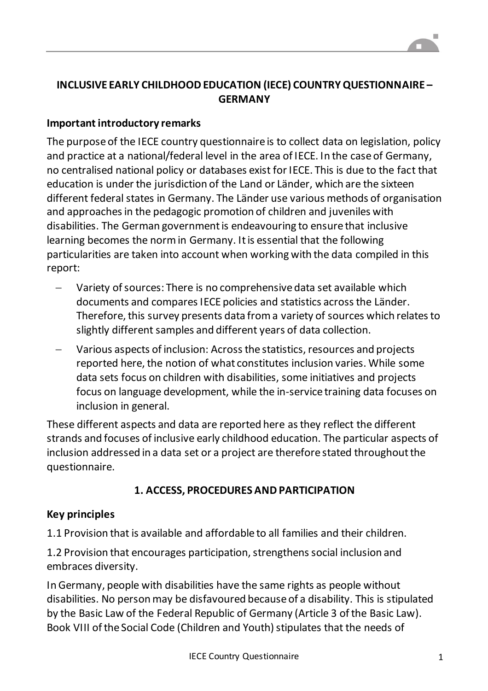# **INCLUSIVE EARLY CHILDHOOD EDUCATION (IECE) COUNTRY QUESTIONNAIRE – GERMANY**

#### **Important introductory remarks**

The purpose of the IECE country questionnaire is to collect data on legislation, policy and practice at a national/federal level in the area of IECE. In the case of Germany, no centralised national policy or databases exist for IECE. This is due to the fact that education is under the jurisdiction of the Land or Länder, which are the sixteen different federal states in Germany. The Länder use various methods of organisation and approaches in the pedagogic promotion of children and juveniles with disabilities. The German government is endeavouring to ensure that inclusive learning becomes the norm in Germany. It is essential that the following particularities are taken into account when working with the data compiled in this report:

- Variety of sources: There is no comprehensive data set available which documents and compares IECE policies and statistics across the Länder. Therefore, this survey presents data from a variety of sources which relates to slightly different samples and different years of data collection.
- Various aspects of inclusion: Across the statistics, resources and projects reported here, the notion of what constitutes inclusion varies. While some data sets focus on children with disabilities, some initiatives and projects focus on language development, while the in-service training data focuses on inclusion in general.

These different aspects and data are reported here as they reflect the different strands and focuses of inclusive early childhood education. The particular aspects of inclusion addressed in a data set or a project are therefore stated throughout the questionnaire.

#### **1. ACCESS, PROCEDURES AND PARTICIPATION**

#### **Key principles**

1.1 Provision that is available and affordable to all families and their children.

1.2 Provision that encourages participation, strengthens social inclusion and embraces diversity.

In Germany, people with disabilities have the same rights as people without disabilities. No person may be disfavoured because of a disability. This is stipulated by the Basic Law of the Federal Republic of Germany (Article 3 of the Basic Law). Book VIII of the Social Code (Children and Youth) stipulates that the needs of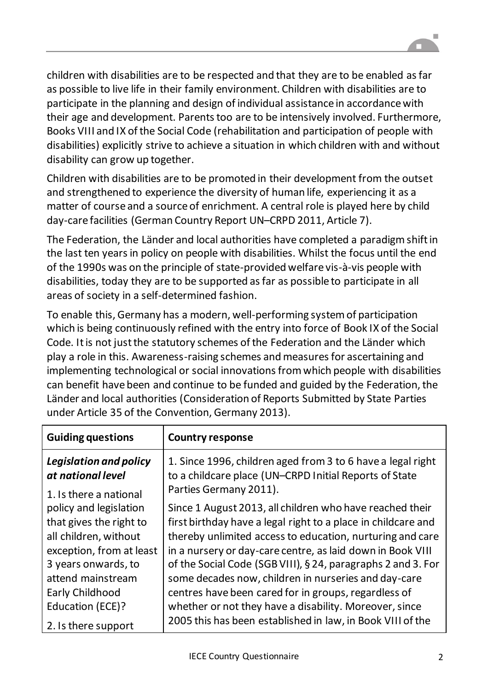

children with disabilities are to be respected and that they are to be enabled as far as possible to live life in their family environment. Children with disabilities are to participate in the planning and design of individual assistance in accordance with their age and development. Parents too are to be intensively involved. Furthermore, Books VIII and IX of the Social Code (rehabilitation and participation of people with disabilities) explicitly strive to achieve a situation in which children with and without disability can grow up together.

Children with disabilities are to be promoted in their development from the outset and strengthened to experience the diversity of human life, experiencing it as a matter of course and a source of enrichment. A central role is played here by child day-care facilities (German Country Report UN–CRPD 2011, Article 7).

The Federation, the Länder and local authorities have completed a paradigm shift in the last ten years in policy on people with disabilities. Whilst the focus until the end of the 1990s was on the principle of state-provided welfare vis-à-vis people with disabilities, today they are to be supported as far as possible to participate in all areas of society in a self-determined fashion.

To enable this, Germany has a modern, well-performing system of participation which is being continuously refined with the entry into force of Book IX of the Social Code. It is not just the statutory schemes of the Federation and the Länder which play a role in this. Awareness-raising schemes and measures for ascertaining and implementing technological or social innovations from which people with disabilities can benefit have been and continue to be funded and guided by the Federation, the Länder and local authorities (Consideration of Reports Submitted by State Parties under Article 35 of the Convention, Germany 2013).

| <b>Guiding questions</b>                                              | <b>Country response</b>                                                                                                                         |  |  |  |
|-----------------------------------------------------------------------|-------------------------------------------------------------------------------------------------------------------------------------------------|--|--|--|
| Legislation and policy<br>at national level<br>1. Is there a national | 1. Since 1996, children aged from 3 to 6 have a legal right<br>to a childcare place (UN-CRPD Initial Reports of State<br>Parties Germany 2011). |  |  |  |
| policy and legislation                                                | Since 1 August 2013, all children who have reached their                                                                                        |  |  |  |
| that gives the right to<br>all children, without                      | first birthday have a legal right to a place in childcare and<br>thereby unlimited access to education, nurturing and care                      |  |  |  |
| exception, from at least                                              | in a nursery or day-care centre, as laid down in Book VIII                                                                                      |  |  |  |
| 3 years onwards, to                                                   | of the Social Code (SGB VIII), §24, paragraphs 2 and 3. For                                                                                     |  |  |  |
| attend mainstream<br>Early Childhood                                  | some decades now, children in nurseries and day-care<br>centres have been cared for in groups, regardless of                                    |  |  |  |
| Education (ECE)?                                                      | whether or not they have a disability. Moreover, since                                                                                          |  |  |  |
| 2. Is there support                                                   | 2005 this has been established in law, in Book VIII of the                                                                                      |  |  |  |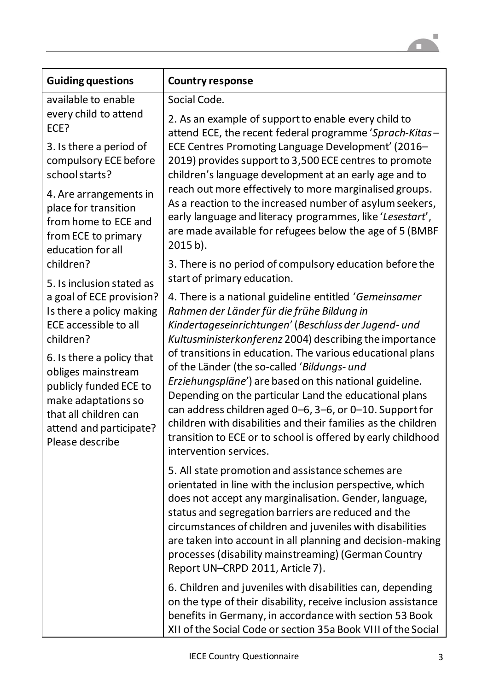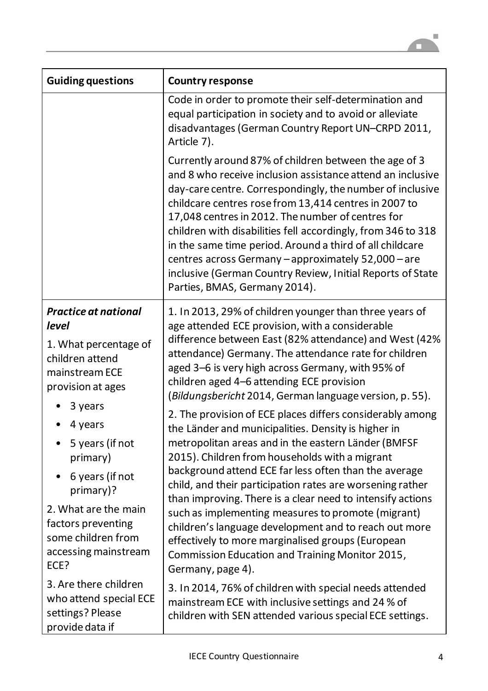

| <b>Guiding questions</b>                                                                                                                                                                                                                                                                                         | <b>Country response</b>                                                                                                                                                                                                                                                                                                                                                                                                                                                                                                                                                                                                                                                                                                                                                                                                                                                                                                                                                                                                                                 |  |  |  |  |
|------------------------------------------------------------------------------------------------------------------------------------------------------------------------------------------------------------------------------------------------------------------------------------------------------------------|---------------------------------------------------------------------------------------------------------------------------------------------------------------------------------------------------------------------------------------------------------------------------------------------------------------------------------------------------------------------------------------------------------------------------------------------------------------------------------------------------------------------------------------------------------------------------------------------------------------------------------------------------------------------------------------------------------------------------------------------------------------------------------------------------------------------------------------------------------------------------------------------------------------------------------------------------------------------------------------------------------------------------------------------------------|--|--|--|--|
|                                                                                                                                                                                                                                                                                                                  | Code in order to promote their self-determination and<br>equal participation in society and to avoid or alleviate<br>disadvantages (German Country Report UN-CRPD 2011,<br>Article 7).                                                                                                                                                                                                                                                                                                                                                                                                                                                                                                                                                                                                                                                                                                                                                                                                                                                                  |  |  |  |  |
|                                                                                                                                                                                                                                                                                                                  | Currently around 87% of children between the age of 3<br>and 8 who receive inclusion assistance attend an inclusive<br>day-care centre. Correspondingly, the number of inclusive<br>childcare centres rose from 13,414 centres in 2007 to<br>17,048 centres in 2012. The number of centres for<br>children with disabilities fell accordingly, from 346 to 318<br>in the same time period. Around a third of all childcare<br>centres across Germany - approximately 52,000 - are<br>inclusive (German Country Review, Initial Reports of State<br>Parties, BMAS, Germany 2014).                                                                                                                                                                                                                                                                                                                                                                                                                                                                        |  |  |  |  |
| <b>Practice at national</b><br>level<br>1. What percentage of<br>children attend<br>mainstream ECE<br>provision at ages<br>3 years<br>4 years<br>5 years (if not<br>primary)<br>6 years (if not<br>primary)?<br>2. What are the main<br>factors preventing<br>some children from<br>accessing mainstream<br>ECE? | 1. In 2013, 29% of children younger than three years of<br>age attended ECE provision, with a considerable<br>difference between East (82% attendance) and West (42%<br>attendance) Germany. The attendance rate for children<br>aged 3–6 is very high across Germany, with 95% of<br>children aged 4-6 attending ECE provision<br>(Bildungsbericht 2014, German language version, p. 55).<br>2. The provision of ECE places differs considerably among<br>the Länder and municipalities. Density is higher in<br>metropolitan areas and in the eastern Länder (BMFSF<br>2015). Children from households with a migrant<br>background attend ECE far less often than the average<br>child, and their participation rates are worsening rather<br>than improving. There is a clear need to intensify actions<br>such as implementing measures to promote (migrant)<br>children's language development and to reach out more<br>effectively to more marginalised groups (European<br>Commission Education and Training Monitor 2015,<br>Germany, page 4). |  |  |  |  |
| 3. Are there children<br>who attend special ECE<br>settings? Please<br>provide data if                                                                                                                                                                                                                           | 3. In 2014, 76% of children with special needs attended<br>mainstream ECE with inclusive settings and 24 % of<br>children with SEN attended various special ECE settings.                                                                                                                                                                                                                                                                                                                                                                                                                                                                                                                                                                                                                                                                                                                                                                                                                                                                               |  |  |  |  |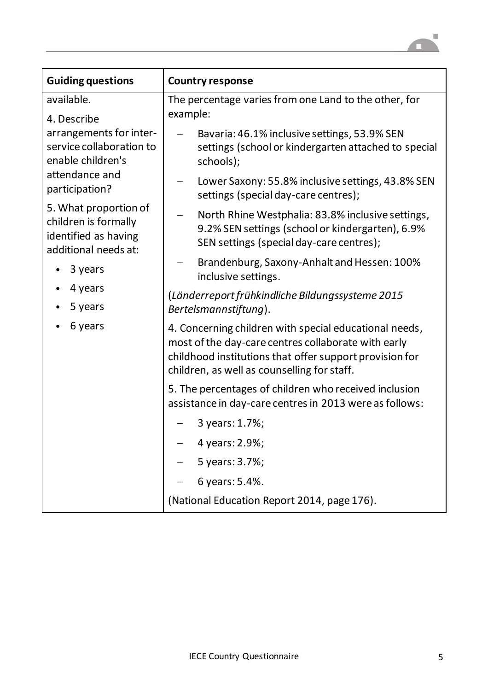

| <b>Guiding questions</b>                                                                      | <b>Country response</b>                                                                                                                                                                                                 |  |  |  |  |  |
|-----------------------------------------------------------------------------------------------|-------------------------------------------------------------------------------------------------------------------------------------------------------------------------------------------------------------------------|--|--|--|--|--|
| available.                                                                                    | The percentage varies from one Land to the other, for                                                                                                                                                                   |  |  |  |  |  |
| 4. Describe<br>arrangements for inter-                                                        | example:<br>Bavaria: 46.1% inclusive settings, 53.9% SEN                                                                                                                                                                |  |  |  |  |  |
| service collaboration to<br>enable children's                                                 | settings (school or kindergarten attached to special<br>schools);                                                                                                                                                       |  |  |  |  |  |
| attendance and<br>participation?                                                              | Lower Saxony: 55.8% inclusive settings, 43.8% SEN<br>$\overline{\phantom{m}}$<br>settings (special day-care centres);                                                                                                   |  |  |  |  |  |
| 5. What proportion of<br>children is formally<br>identified as having<br>additional needs at: | North Rhine Westphalia: 83.8% inclusive settings,<br>9.2% SEN settings (school or kindergarten), 6.9%<br>SEN settings (special day-care centres);                                                                       |  |  |  |  |  |
| 3 years                                                                                       | Brandenburg, Saxony-Anhalt and Hessen: 100%<br>inclusive settings.                                                                                                                                                      |  |  |  |  |  |
| 4 years<br>5 years                                                                            | (Länderreport frühkindliche Bildungssysteme 2015<br>Bertelsmannstiftung).                                                                                                                                               |  |  |  |  |  |
| 6 years                                                                                       | 4. Concerning children with special educational needs,<br>most of the day-care centres collaborate with early<br>childhood institutions that offer support provision for<br>children, as well as counselling for staff. |  |  |  |  |  |
|                                                                                               | 5. The percentages of children who received inclusion<br>assistance in day-care centres in 2013 were as follows:                                                                                                        |  |  |  |  |  |
|                                                                                               | 3 years: 1.7%;                                                                                                                                                                                                          |  |  |  |  |  |
|                                                                                               | 4 years: 2.9%;                                                                                                                                                                                                          |  |  |  |  |  |
|                                                                                               | 5 years: 3.7%;                                                                                                                                                                                                          |  |  |  |  |  |
|                                                                                               | 6 years: 5.4%.                                                                                                                                                                                                          |  |  |  |  |  |
|                                                                                               | (National Education Report 2014, page 176).                                                                                                                                                                             |  |  |  |  |  |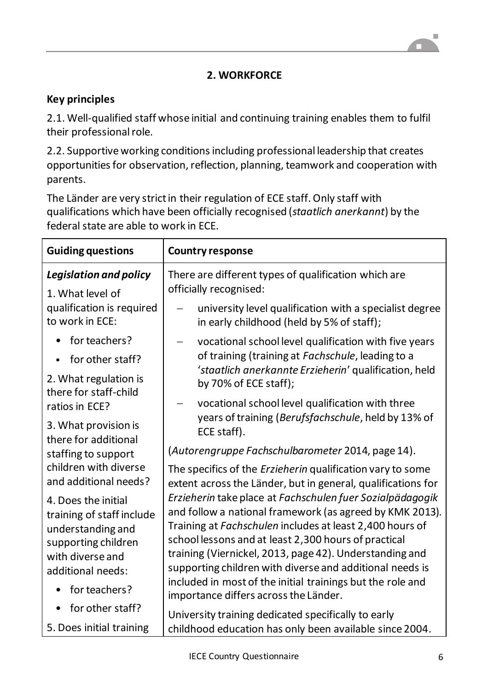## **2. WORKFORCE**

## **Key principles**

2.1. Well-qualified staff whose initial and continuing training enables them to fulfil their professional role.

2.2. Supportive working conditions including professional leadership that creates opportunities for observation, reflection, planning, teamwork and cooperation with parents.

The Länder are very strict in their regulation of ECE staff. Only staff with qualifications which have been officially recognised (*staatlich anerkannt*) by the federal state are able to work in ECE.

| <b>Guiding questions</b>                                                                                                                               | <b>Country response</b>                                                                                                                                                                                                                                                                                                                                                                                                                                                 |  |  |  |  |
|--------------------------------------------------------------------------------------------------------------------------------------------------------|-------------------------------------------------------------------------------------------------------------------------------------------------------------------------------------------------------------------------------------------------------------------------------------------------------------------------------------------------------------------------------------------------------------------------------------------------------------------------|--|--|--|--|
| <b>Legislation and policy</b><br>1. What level of                                                                                                      | There are different types of qualification which are<br>officially recognised:                                                                                                                                                                                                                                                                                                                                                                                          |  |  |  |  |
| qualification is required<br>to work in ECE:                                                                                                           | university level qualification with a specialist degree<br>in early childhood (held by 5% of staff);                                                                                                                                                                                                                                                                                                                                                                    |  |  |  |  |
| for teachers?                                                                                                                                          | vocational school level qualification with five years                                                                                                                                                                                                                                                                                                                                                                                                                   |  |  |  |  |
| for other staff?                                                                                                                                       | of training (training at Fachschule, leading to a                                                                                                                                                                                                                                                                                                                                                                                                                       |  |  |  |  |
| 2. What regulation is<br>there for staff-child                                                                                                         | 'staatlich anerkannte Erzieherin' qualification, held<br>by 70% of ECE staff);                                                                                                                                                                                                                                                                                                                                                                                          |  |  |  |  |
| ratios in ECE?                                                                                                                                         | vocational school level qualification with three                                                                                                                                                                                                                                                                                                                                                                                                                        |  |  |  |  |
| 3. What provision is<br>there for additional                                                                                                           | years of training (Berufsfachschule, held by 13% of<br>ECE staff).                                                                                                                                                                                                                                                                                                                                                                                                      |  |  |  |  |
| staffing to support                                                                                                                                    | (Autorengruppe Fachschulbarometer 2014, page 14).                                                                                                                                                                                                                                                                                                                                                                                                                       |  |  |  |  |
| children with diverse<br>and additional needs?                                                                                                         | The specifics of the <i>Erzieherin</i> qualification vary to some<br>extent across the Länder, but in general, qualifications for                                                                                                                                                                                                                                                                                                                                       |  |  |  |  |
| 4. Does the initial<br>training of staff include<br>understanding and<br>supporting children<br>with diverse and<br>additional needs:<br>for teachers? | Erzieherin take place at Fachschulen fuer Sozialpädagogik<br>and follow a national framework (as agreed by KMK 2013).<br>Training at Fachschulen includes at least 2,400 hours of<br>school lessons and at least 2,300 hours of practical<br>training (Viernickel, 2013, page 42). Understanding and<br>supporting children with diverse and additional needs is<br>included in most of the initial trainings but the role and<br>importance differs across the Länder. |  |  |  |  |
| for other staff?<br>$\bullet$                                                                                                                          | University training dedicated specifically to early                                                                                                                                                                                                                                                                                                                                                                                                                     |  |  |  |  |
| 5. Does initial training                                                                                                                               | childhood education has only been available since 2004.                                                                                                                                                                                                                                                                                                                                                                                                                 |  |  |  |  |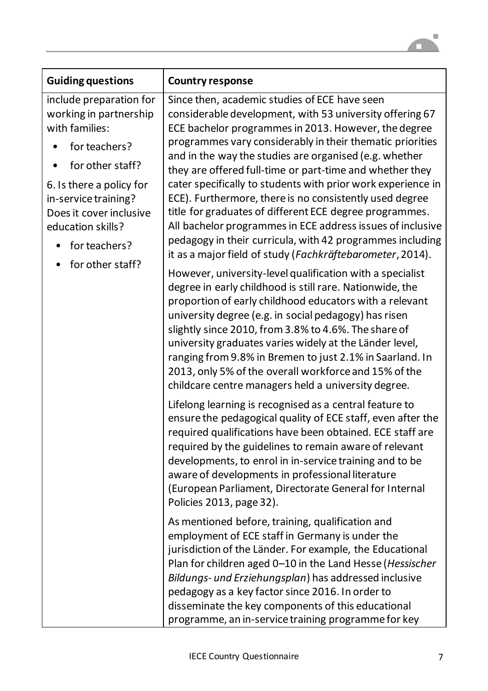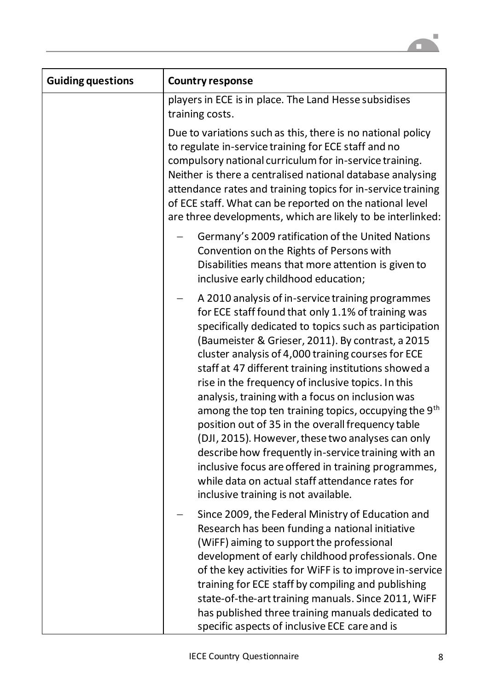

| <b>Guiding questions</b> | <b>Country response</b>                                                                                                                                                                                                                                                                                                                                                                                                                                                                                                                                                                                                                                                                                                                                                                                                               |
|--------------------------|---------------------------------------------------------------------------------------------------------------------------------------------------------------------------------------------------------------------------------------------------------------------------------------------------------------------------------------------------------------------------------------------------------------------------------------------------------------------------------------------------------------------------------------------------------------------------------------------------------------------------------------------------------------------------------------------------------------------------------------------------------------------------------------------------------------------------------------|
|                          | players in ECE is in place. The Land Hesse subsidises<br>training costs.                                                                                                                                                                                                                                                                                                                                                                                                                                                                                                                                                                                                                                                                                                                                                              |
|                          | Due to variations such as this, there is no national policy<br>to regulate in-service training for ECE staff and no<br>compulsory national curriculum for in-service training.<br>Neither is there a centralised national database analysing<br>attendance rates and training topics for in-service training<br>of ECE staff. What can be reported on the national level<br>are three developments, which are likely to be interlinked:                                                                                                                                                                                                                                                                                                                                                                                               |
|                          | Germany's 2009 ratification of the United Nations<br>Convention on the Rights of Persons with<br>Disabilities means that more attention is given to<br>inclusive early childhood education;                                                                                                                                                                                                                                                                                                                                                                                                                                                                                                                                                                                                                                           |
|                          | A 2010 analysis of in-service training programmes<br>for ECE staff found that only 1.1% of training was<br>specifically dedicated to topics such as participation<br>(Baumeister & Grieser, 2011). By contrast, a 2015<br>cluster analysis of 4,000 training courses for ECE<br>staff at 47 different training institutions showed a<br>rise in the frequency of inclusive topics. In this<br>analysis, training with a focus on inclusion was<br>among the top ten training topics, occupying the 9 <sup>th</sup><br>position out of 35 in the overall frequency table<br>(DJI, 2015). However, these two analyses can only<br>describe how frequently in-service training with an<br>inclusive focus are offered in training programmes,<br>while data on actual staff attendance rates for<br>inclusive training is not available. |
|                          | Since 2009, the Federal Ministry of Education and<br>Research has been funding a national initiative<br>(WiFF) aiming to support the professional<br>development of early childhood professionals. One<br>of the key activities for WIFF is to improve in-service<br>training for ECE staff by compiling and publishing<br>state-of-the-art training manuals. Since 2011, WiFF<br>has published three training manuals dedicated to<br>specific aspects of inclusive ECE care and is                                                                                                                                                                                                                                                                                                                                                  |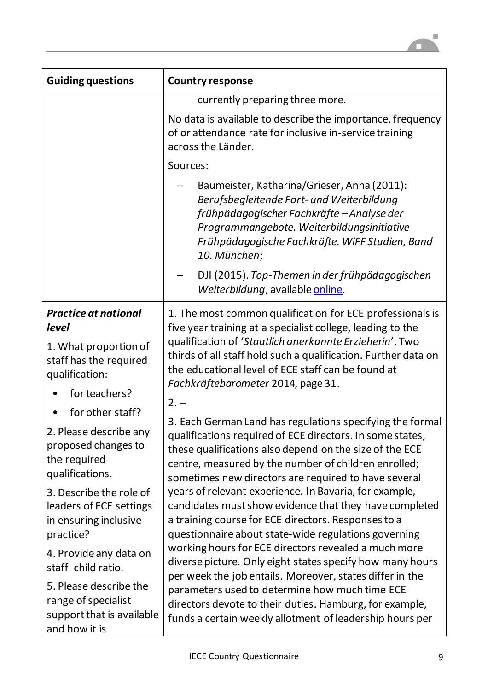

| <b>Guiding questions</b>                                                                                                                                                                                                                                                                                                                                                                                                                                                      | <b>Country response</b>                                                                                                                                                                                                                                                                                                                                                                                                                                                                                                                                                                                                                                                                                                                                                                                                                                                                                                                                                                                                                                                                                                                                                                                                                                      |  |  |  |  |
|-------------------------------------------------------------------------------------------------------------------------------------------------------------------------------------------------------------------------------------------------------------------------------------------------------------------------------------------------------------------------------------------------------------------------------------------------------------------------------|--------------------------------------------------------------------------------------------------------------------------------------------------------------------------------------------------------------------------------------------------------------------------------------------------------------------------------------------------------------------------------------------------------------------------------------------------------------------------------------------------------------------------------------------------------------------------------------------------------------------------------------------------------------------------------------------------------------------------------------------------------------------------------------------------------------------------------------------------------------------------------------------------------------------------------------------------------------------------------------------------------------------------------------------------------------------------------------------------------------------------------------------------------------------------------------------------------------------------------------------------------------|--|--|--|--|
|                                                                                                                                                                                                                                                                                                                                                                                                                                                                               | currently preparing three more.                                                                                                                                                                                                                                                                                                                                                                                                                                                                                                                                                                                                                                                                                                                                                                                                                                                                                                                                                                                                                                                                                                                                                                                                                              |  |  |  |  |
|                                                                                                                                                                                                                                                                                                                                                                                                                                                                               | No data is available to describe the importance, frequency<br>of or attendance rate for inclusive in-service training<br>across the Länder.                                                                                                                                                                                                                                                                                                                                                                                                                                                                                                                                                                                                                                                                                                                                                                                                                                                                                                                                                                                                                                                                                                                  |  |  |  |  |
|                                                                                                                                                                                                                                                                                                                                                                                                                                                                               | Sources:                                                                                                                                                                                                                                                                                                                                                                                                                                                                                                                                                                                                                                                                                                                                                                                                                                                                                                                                                                                                                                                                                                                                                                                                                                                     |  |  |  |  |
|                                                                                                                                                                                                                                                                                                                                                                                                                                                                               | Baumeister, Katharina/Grieser, Anna (2011):<br>Berufsbegleitende Fort- und Weiterbildung<br>frühpädagogischer Fachkräfte - Analyse der<br>Programmangebote. Weiterbildungsinitiative<br>Frühpädagogische Fachkräfte. WiFF Studien, Band<br>10. München;                                                                                                                                                                                                                                                                                                                                                                                                                                                                                                                                                                                                                                                                                                                                                                                                                                                                                                                                                                                                      |  |  |  |  |
|                                                                                                                                                                                                                                                                                                                                                                                                                                                                               | DJI (2015). Top-Themen in der frühpädagogischen<br>Weiterbildung, available online.                                                                                                                                                                                                                                                                                                                                                                                                                                                                                                                                                                                                                                                                                                                                                                                                                                                                                                                                                                                                                                                                                                                                                                          |  |  |  |  |
| <b>Practice at national</b><br>level<br>1. What proportion of<br>staff has the required<br>qualification:<br>for teachers?<br>for other staff?<br>2. Please describe any<br>proposed changes to<br>the required<br>qualifications.<br>3. Describe the role of<br>leaders of ECE settings<br>in ensuring inclusive<br>practice?<br>4. Provide any data on<br>staff-child ratio.<br>5. Please describe the<br>range of specialist<br>support that is available<br>and how it is | 1. The most common qualification for ECE professionals is<br>five year training at a specialist college, leading to the<br>qualification of 'Staatlich anerkannte Erzieherin'. Two<br>thirds of all staff hold such a qualification. Further data on<br>the educational level of ECE staff can be found at<br>Fachkräftebarometer 2014, page 31.<br>$2. -$<br>3. Each German Land has regulations specifying the formal<br>qualifications required of ECE directors. In some states,<br>these qualifications also depend on the size of the ECE<br>centre, measured by the number of children enrolled;<br>sometimes new directors are required to have several<br>years of relevant experience. In Bavaria, for example,<br>candidates must show evidence that they have completed<br>a training course for ECE directors. Responses to a<br>questionnaire about state-wide regulations governing<br>working hours for ECE directors revealed a much more<br>diverse picture. Only eight states specify how many hours<br>per week the job entails. Moreover, states differ in the<br>parameters used to determine how much time ECE<br>directors devote to their duties. Hamburg, for example,<br>funds a certain weekly allotment of leadership hours per |  |  |  |  |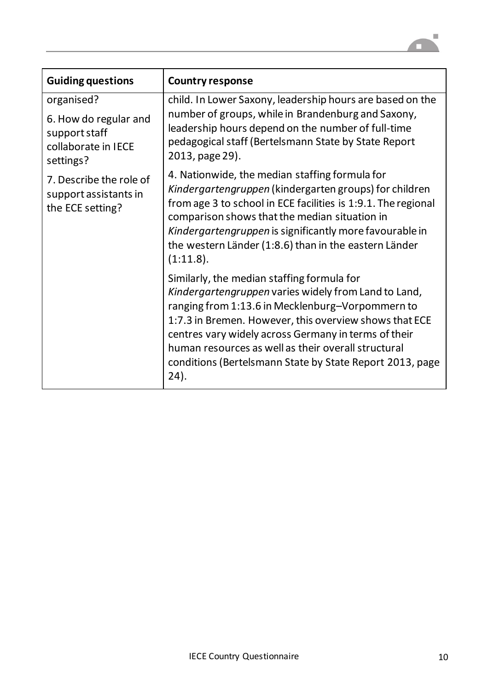

| <b>Guiding questions</b>                                                                 | <b>Country response</b>                                                                                                                                                                                                                                                                                                                                                                             |
|------------------------------------------------------------------------------------------|-----------------------------------------------------------------------------------------------------------------------------------------------------------------------------------------------------------------------------------------------------------------------------------------------------------------------------------------------------------------------------------------------------|
| organised?<br>6. How do regular and<br>support staff<br>collaborate in IECE<br>settings? | child. In Lower Saxony, leadership hours are based on the<br>number of groups, while in Brandenburg and Saxony,<br>leadership hours depend on the number of full-time<br>pedagogical staff (Bertelsmann State by State Report<br>2013, page 29).                                                                                                                                                    |
| 7. Describe the role of<br>support assistants in<br>the ECE setting?                     | 4. Nationwide, the median staffing formula for<br>Kindergartengruppen (kindergarten groups) for children<br>from age 3 to school in ECE facilities is 1:9.1. The regional<br>comparison shows that the median situation in<br>Kindergartengruppen is significantly more favourable in<br>the western Länder (1:8.6) than in the eastern Länder<br>(1:11.8).                                         |
|                                                                                          | Similarly, the median staffing formula for<br>Kindergartengruppen varies widely from Land to Land,<br>ranging from 1:13.6 in Mecklenburg-Vorpommern to<br>1:7.3 in Bremen. However, this overview shows that ECE<br>centres vary widely across Germany in terms of their<br>human resources as well as their overall structural<br>conditions (Bertelsmann State by State Report 2013, page<br>24). |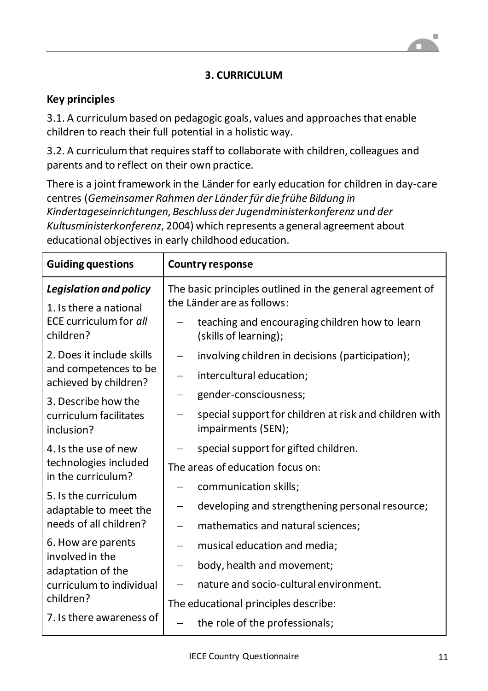# **3. CURRICULUM**

### **Key principles**

3.1. A curriculum based on pedagogic goals, values and approaches that enable children to reach their full potential in a holistic way.

3.2. A curriculum that requires staff to collaborate with children, colleagues and parents and to reflect on their own practice.

There is a joint framework in the Länder for early education for children in day-care centres (*Gemeinsamer Rahmen der Länder für die frühe Bildung in Kindertageseinrichtungen, Beschluss der Jugendministerkonferenz und der Kultusministerkonferenz*, 2004) which represents a general agreement about educational objectives in early childhood education.

| <b>Guiding questions</b>                                | <b>Country response</b>                                                                 |  |  |  |
|---------------------------------------------------------|-----------------------------------------------------------------------------------------|--|--|--|
| <b>Legislation and policy</b><br>1. Is there a national | The basic principles outlined in the general agreement of<br>the Länder are as follows: |  |  |  |
| ECE curriculum for all<br>children?                     | teaching and encouraging children how to learn<br>(skills of learning);                 |  |  |  |
| 2. Does it include skills                               | involving children in decisions (participation);<br>$\qquad \qquad -$                   |  |  |  |
| and competences to be<br>achieved by children?          | intercultural education;<br>$\overline{\phantom{m}}$                                    |  |  |  |
| 3. Describe how the                                     | gender-consciousness;                                                                   |  |  |  |
| curriculum facilitates<br>inclusion?                    | special support for children at risk and children with<br>impairments (SEN);            |  |  |  |
| 4. Is the use of new                                    | special support for gifted children.                                                    |  |  |  |
| technologies included<br>in the curriculum?             | The areas of education focus on:                                                        |  |  |  |
| 5. Is the curriculum                                    | communication skills;                                                                   |  |  |  |
| adaptable to meet the<br>needs of all children?         | developing and strengthening personal resource;<br>$\overline{\phantom{0}}$             |  |  |  |
|                                                         | mathematics and natural sciences;<br>$\overline{\phantom{m}}$                           |  |  |  |
| 6. How are parents<br>involved in the                   | musical education and media;                                                            |  |  |  |
| adaptation of the                                       | body, health and movement;<br>$\overline{\phantom{m}}$                                  |  |  |  |
| curriculum to individual                                | nature and socio-cultural environment.                                                  |  |  |  |
| children?                                               | The educational principles describe:                                                    |  |  |  |
| 7. Is there awareness of                                | the role of the professionals;                                                          |  |  |  |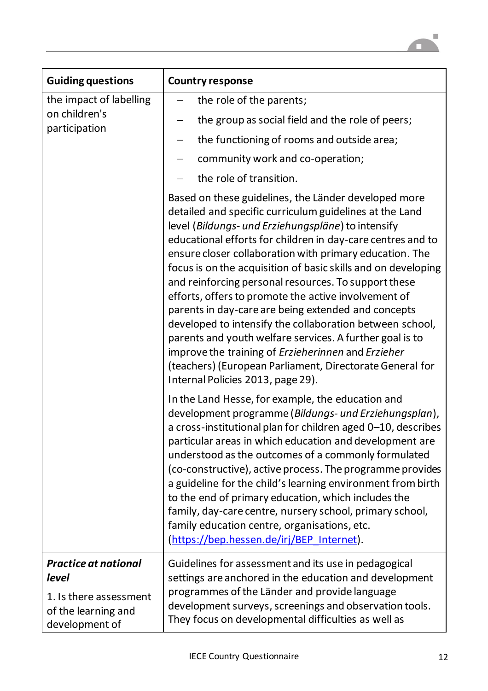

| <b>Guiding questions</b>                                                                                | <b>Country response</b>                                                                                                                                                                                                                                                                                                                                                                                                                                                                                                                                                                                                                                                                                                                                                                                                |  |  |  |  |  |
|---------------------------------------------------------------------------------------------------------|------------------------------------------------------------------------------------------------------------------------------------------------------------------------------------------------------------------------------------------------------------------------------------------------------------------------------------------------------------------------------------------------------------------------------------------------------------------------------------------------------------------------------------------------------------------------------------------------------------------------------------------------------------------------------------------------------------------------------------------------------------------------------------------------------------------------|--|--|--|--|--|
| the impact of labelling                                                                                 | the role of the parents;                                                                                                                                                                                                                                                                                                                                                                                                                                                                                                                                                                                                                                                                                                                                                                                               |  |  |  |  |  |
| on children's<br>participation                                                                          | the group as social field and the role of peers;<br>—                                                                                                                                                                                                                                                                                                                                                                                                                                                                                                                                                                                                                                                                                                                                                                  |  |  |  |  |  |
|                                                                                                         | the functioning of rooms and outside area;<br>$\qquad \qquad -$                                                                                                                                                                                                                                                                                                                                                                                                                                                                                                                                                                                                                                                                                                                                                        |  |  |  |  |  |
|                                                                                                         | community work and co-operation;                                                                                                                                                                                                                                                                                                                                                                                                                                                                                                                                                                                                                                                                                                                                                                                       |  |  |  |  |  |
|                                                                                                         | the role of transition.                                                                                                                                                                                                                                                                                                                                                                                                                                                                                                                                                                                                                                                                                                                                                                                                |  |  |  |  |  |
|                                                                                                         | Based on these guidelines, the Länder developed more<br>detailed and specific curriculum guidelines at the Land<br>level (Bildungs- und Erziehungspläne) to intensify<br>educational efforts for children in day-care centres and to<br>ensure closer collaboration with primary education. The<br>focus is on the acquisition of basic skills and on developing<br>and reinforcing personal resources. To support these<br>efforts, offers to promote the active involvement of<br>parents in day-care are being extended and concepts<br>developed to intensify the collaboration between school,<br>parents and youth welfare services. A further goal is to<br>improve the training of Erzieherinnen and Erzieher<br>(teachers) (European Parliament, Directorate General for<br>Internal Policies 2013, page 29). |  |  |  |  |  |
|                                                                                                         | In the Land Hesse, for example, the education and<br>development programme (Bildungs- und Erziehungsplan),<br>a cross-institutional plan for children aged 0-10, describes<br>particular areas in which education and development are<br>understood as the outcomes of a commonly formulated<br>(co-constructive), active process. The programme provides<br>a guideline for the child's learning environment from birth<br>to the end of primary education, which includes the<br>family, day-care centre, nursery school, primary school,<br>family education centre, organisations, etc.<br>(https://bep.hessen.de/irj/BEP Internet).                                                                                                                                                                               |  |  |  |  |  |
| <b>Practice at national</b><br>level<br>1. Is there assessment<br>of the learning and<br>development of | Guidelines for assessment and its use in pedagogical<br>settings are anchored in the education and development<br>programmes of the Länder and provide language<br>development surveys, screenings and observation tools.<br>They focus on developmental difficulties as well as                                                                                                                                                                                                                                                                                                                                                                                                                                                                                                                                       |  |  |  |  |  |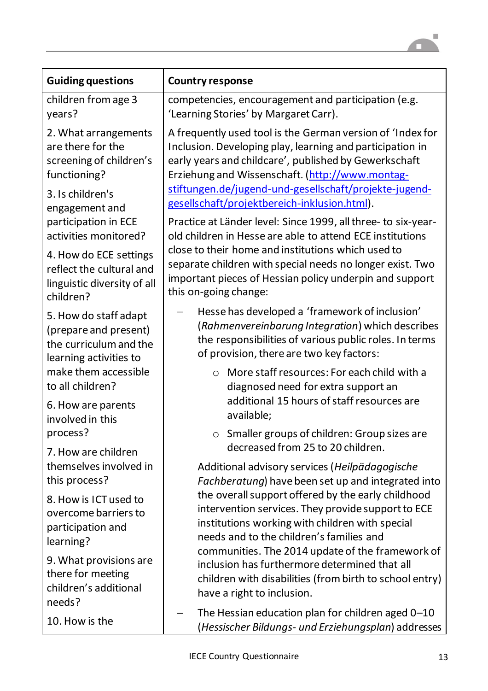

| <b>Guiding questions</b>                                                             | <b>Country response</b>                                                                                                                                                                                                                                                                       |  |  |  |  |  |
|--------------------------------------------------------------------------------------|-----------------------------------------------------------------------------------------------------------------------------------------------------------------------------------------------------------------------------------------------------------------------------------------------|--|--|--|--|--|
| children from age 3                                                                  | competencies, encouragement and participation (e.g.                                                                                                                                                                                                                                           |  |  |  |  |  |
| years?                                                                               | 'Learning Stories' by Margaret Carr).                                                                                                                                                                                                                                                         |  |  |  |  |  |
| 2. What arrangements<br>are there for the<br>screening of children's<br>functioning? | A frequently used tool is the German version of 'Index for<br>Inclusion. Developing play, learning and participation in<br>early years and childcare', published by Gewerkschaft<br>Erziehung and Wissenschaft. (http://www.montag-<br>stiftungen.de/jugend-und-gesellschaft/projekte-jugend- |  |  |  |  |  |
| 3. Is children's<br>engagement and                                                   | gesellschaft/projektbereich-inklusion.html).                                                                                                                                                                                                                                                  |  |  |  |  |  |
| participation in ECE                                                                 | Practice at Länder level: Since 1999, all three- to six-year-                                                                                                                                                                                                                                 |  |  |  |  |  |
| activities monitored?                                                                | old children in Hesse are able to attend ECE institutions                                                                                                                                                                                                                                     |  |  |  |  |  |
| 4. How do ECE settings                                                               | close to their home and institutions which used to                                                                                                                                                                                                                                            |  |  |  |  |  |
| reflect the cultural and                                                             | separate children with special needs no longer exist. Two                                                                                                                                                                                                                                     |  |  |  |  |  |
| linguistic diversity of all                                                          | important pieces of Hessian policy underpin and support                                                                                                                                                                                                                                       |  |  |  |  |  |
| children?                                                                            | this on-going change:                                                                                                                                                                                                                                                                         |  |  |  |  |  |
| 5. How do staff adapt                                                                | Hesse has developed a 'framework of inclusion'                                                                                                                                                                                                                                                |  |  |  |  |  |
| (prepare and present)                                                                | (Rahmenvereinbarung Integration) which describes                                                                                                                                                                                                                                              |  |  |  |  |  |
| the curriculum and the                                                               | the responsibilities of various public roles. In terms                                                                                                                                                                                                                                        |  |  |  |  |  |
| learning activities to                                                               | of provision, there are two key factors:                                                                                                                                                                                                                                                      |  |  |  |  |  |
| make them accessible<br>to all children?                                             | More staff resources: For each child with a<br>$\circ$<br>diagnosed need for extra support an                                                                                                                                                                                                 |  |  |  |  |  |
| 6. How are parents                                                                   | additional 15 hours of staff resources are                                                                                                                                                                                                                                                    |  |  |  |  |  |
| involved in this                                                                     | available;                                                                                                                                                                                                                                                                                    |  |  |  |  |  |
| process?                                                                             | o Smaller groups of children: Group sizes are                                                                                                                                                                                                                                                 |  |  |  |  |  |
| 7. How are children                                                                  | decreased from 25 to 20 children.                                                                                                                                                                                                                                                             |  |  |  |  |  |
| themselves involved in                                                               | Additional advisory services (Heilpädagogische                                                                                                                                                                                                                                                |  |  |  |  |  |
| this process?                                                                        | Fachberatung) have been set up and integrated into                                                                                                                                                                                                                                            |  |  |  |  |  |
| 8. How is ICT used to<br>overcome barriers to<br>participation and<br>learning?      | the overall support offered by the early childhood<br>intervention services. They provide support to ECE<br>institutions working with children with special<br>needs and to the children's families and<br>communities. The 2014 update of the framework of                                   |  |  |  |  |  |
| 9. What provisions are<br>there for meeting<br>children's additional<br>needs?       | inclusion has furthermore determined that all<br>children with disabilities (from birth to school entry)<br>have a right to inclusion.                                                                                                                                                        |  |  |  |  |  |
| 10. How is the                                                                       | The Hessian education plan for children aged 0-10<br>(Hessischer Bildungs- und Erziehungsplan) addresses                                                                                                                                                                                      |  |  |  |  |  |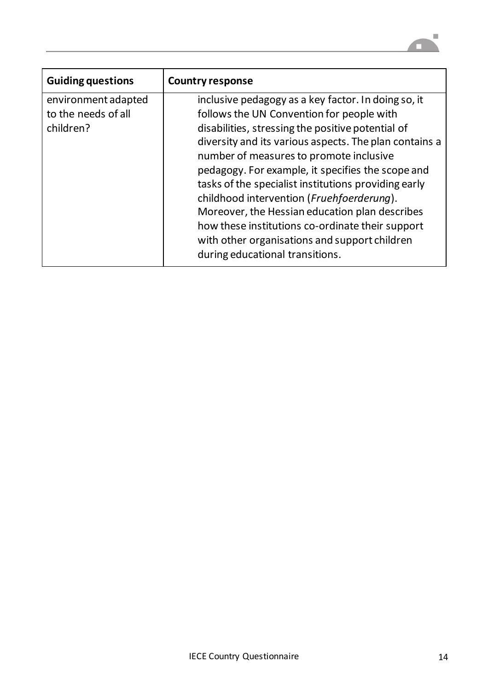

| <b>Guiding questions</b>                                | <b>Country response</b>                                                                                                                                                                                                                                                                                                                                                                                                                                                                                                                                                                                        |
|---------------------------------------------------------|----------------------------------------------------------------------------------------------------------------------------------------------------------------------------------------------------------------------------------------------------------------------------------------------------------------------------------------------------------------------------------------------------------------------------------------------------------------------------------------------------------------------------------------------------------------------------------------------------------------|
| environment adapted<br>to the needs of all<br>children? | inclusive pedagogy as a key factor. In doing so, it<br>follows the UN Convention for people with<br>disabilities, stressing the positive potential of<br>diversity and its various aspects. The plan contains a<br>number of measures to promote inclusive<br>pedagogy. For example, it specifies the scope and<br>tasks of the specialist institutions providing early<br>childhood intervention (Fruehfoerderung).<br>Moreover, the Hessian education plan describes<br>how these institutions co-ordinate their support<br>with other organisations and support children<br>during educational transitions. |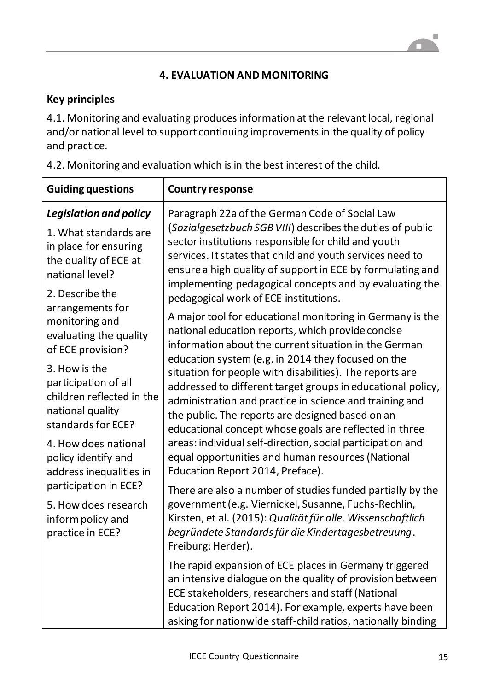# **4. EVALUATION AND MONITORING**

### **Key principles**

4.1. Monitoring and evaluating produces information at the relevant local, regional and/or national level to support continuing improvements in the quality of policy and practice.

| 4.2. Monitoring and evaluation which is in the best interest of the child. |  |  |  |  |  |  |  |  |
|----------------------------------------------------------------------------|--|--|--|--|--|--|--|--|
|----------------------------------------------------------------------------|--|--|--|--|--|--|--|--|

| <b>Guiding questions</b>                                                                                                                                                                                                                                                                                                     | <b>Country response</b>                                                                                                                                                                                                                                                                                                                                                                                                                                                                                                                                                                                                                                                                                                                                                                                                                                                                                                                                                                                                                                                                                                                                                                                                                                                                                                                                                                                                                                                                                                                                                                                                                                               |
|------------------------------------------------------------------------------------------------------------------------------------------------------------------------------------------------------------------------------------------------------------------------------------------------------------------------------|-----------------------------------------------------------------------------------------------------------------------------------------------------------------------------------------------------------------------------------------------------------------------------------------------------------------------------------------------------------------------------------------------------------------------------------------------------------------------------------------------------------------------------------------------------------------------------------------------------------------------------------------------------------------------------------------------------------------------------------------------------------------------------------------------------------------------------------------------------------------------------------------------------------------------------------------------------------------------------------------------------------------------------------------------------------------------------------------------------------------------------------------------------------------------------------------------------------------------------------------------------------------------------------------------------------------------------------------------------------------------------------------------------------------------------------------------------------------------------------------------------------------------------------------------------------------------------------------------------------------------------------------------------------------------|
| <b>Legislation and policy</b><br>1. What standards are<br>in place for ensuring<br>the quality of ECE at<br>national level?<br>2. Describe the                                                                                                                                                                               | Paragraph 22a of the German Code of Social Law<br>(Sozialgesetzbuch SGB VIII) describes the duties of public<br>sector institutions responsible for child and youth<br>services. It states that child and youth services need to<br>ensure a high quality of support in ECE by formulating and<br>implementing pedagogical concepts and by evaluating the<br>pedagogical work of ECE institutions.<br>A major tool for educational monitoring in Germany is the<br>national education reports, which provide concise<br>information about the current situation in the German<br>education system (e.g. in 2014 they focused on the<br>situation for people with disabilities). The reports are<br>addressed to different target groups in educational policy,<br>administration and practice in science and training and<br>the public. The reports are designed based on an<br>educational concept whose goals are reflected in three<br>areas: individual self-direction, social participation and<br>equal opportunities and human resources (National<br>Education Report 2014, Preface).<br>There are also a number of studies funded partially by the<br>government (e.g. Viernickel, Susanne, Fuchs-Rechlin,<br>Kirsten, et al. (2015): Qualität für alle. Wissenschaftlich<br>begründete Standards für die Kindertagesbetreuung.<br>Freiburg: Herder).<br>The rapid expansion of ECE places in Germany triggered<br>an intensive dialogue on the quality of provision between<br>ECE stakeholders, researchers and staff (National<br>Education Report 2014). For example, experts have been<br>asking for nationwide staff-child ratios, nationally binding |
| arrangements for<br>monitoring and<br>evaluating the quality<br>of ECE provision?<br>3. How is the<br>participation of all<br>children reflected in the<br>national quality<br>standards for ECE?<br>4. How does national<br>policy identify and<br>address inequalities in<br>participation in ECE?<br>5. How does research |                                                                                                                                                                                                                                                                                                                                                                                                                                                                                                                                                                                                                                                                                                                                                                                                                                                                                                                                                                                                                                                                                                                                                                                                                                                                                                                                                                                                                                                                                                                                                                                                                                                                       |
| inform policy and<br>practice in ECE?                                                                                                                                                                                                                                                                                        |                                                                                                                                                                                                                                                                                                                                                                                                                                                                                                                                                                                                                                                                                                                                                                                                                                                                                                                                                                                                                                                                                                                                                                                                                                                                                                                                                                                                                                                                                                                                                                                                                                                                       |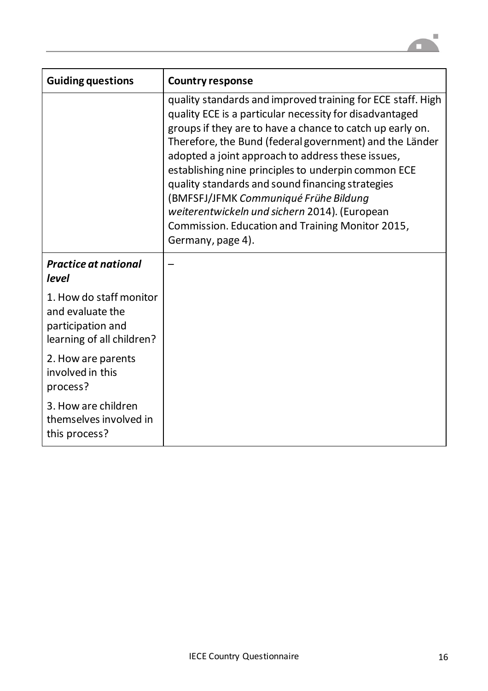

| <b>Guiding questions</b>                                                                      | <b>Country response</b>                                                                                                                                                                                                                                                                                                                                                                                                                                                                                                                                                           |
|-----------------------------------------------------------------------------------------------|-----------------------------------------------------------------------------------------------------------------------------------------------------------------------------------------------------------------------------------------------------------------------------------------------------------------------------------------------------------------------------------------------------------------------------------------------------------------------------------------------------------------------------------------------------------------------------------|
|                                                                                               | quality standards and improved training for ECE staff. High<br>quality ECE is a particular necessity for disadvantaged<br>groups if they are to have a chance to catch up early on.<br>Therefore, the Bund (federal government) and the Länder<br>adopted a joint approach to address these issues,<br>establishing nine principles to underpin common ECE<br>quality standards and sound financing strategies<br>(BMFSFJ/JFMK Communiqué Frühe Bildung<br>weiterentwickeln und sichern 2014). (European<br>Commission. Education and Training Monitor 2015,<br>Germany, page 4). |
| <b>Practice at national</b><br>level                                                          |                                                                                                                                                                                                                                                                                                                                                                                                                                                                                                                                                                                   |
| 1. How do staff monitor<br>and evaluate the<br>participation and<br>learning of all children? |                                                                                                                                                                                                                                                                                                                                                                                                                                                                                                                                                                                   |
| 2. How are parents<br>involved in this<br>process?                                            |                                                                                                                                                                                                                                                                                                                                                                                                                                                                                                                                                                                   |
| 3. How are children<br>themselves involved in<br>this process?                                |                                                                                                                                                                                                                                                                                                                                                                                                                                                                                                                                                                                   |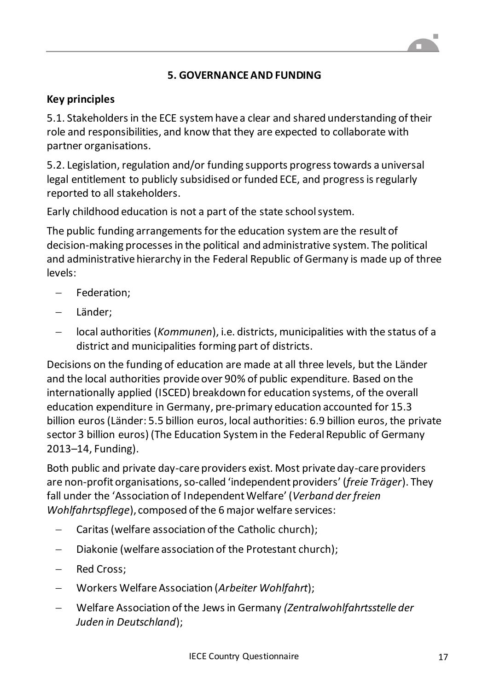## **5. GOVERNANCE AND FUNDING**

#### **Key principles**

5.1. Stakeholders in the ECE system have a clear and shared understanding of their role and responsibilities, and know that they are expected to collaborate with partner organisations.

5.2. Legislation, regulation and/or funding supports progress towards a universal legal entitlement to publicly subsidised or funded ECE, and progress is regularly reported to all stakeholders.

Early childhood education is not a part of the state school system.

The public funding arrangements for the education system are the result of decision-making processes in the political and administrative system. The political and administrative hierarchy in the Federal Republic of Germany is made up of three levels:

- Federation:
- Länder;
- local authorities (*Kommunen*), i.e. districts, municipalities with the status of a district and municipalities forming part of districts.

Decisions on the funding of education are made at all three levels, but the Länder and the local authorities provide over 90% of public expenditure. Based on the internationally applied (ISCED) breakdown for education systems, of the overall education expenditure in Germany, pre-primary education accounted for 15.3 billion euros(Länder: 5.5 billion euros, local authorities: 6.9 billion euros, the private sector 3 billion euros) (The Education System in the Federal Republic of Germany 2013–14, Funding).

Both public and private day-care providers exist. Most private day-care providers are non-profit organisations, so-called 'independent providers' (*freie Träger*). They fall under the 'Association of Independent Welfare' (*Verband der freien Wohlfahrtspflege*), composed of the 6 major welfare services:

- Caritas (welfare association of the Catholic church);
- Diakonie (welfare association of the Protestant church);
- Red Cross;
- Workers Welfare Association (*Arbeiter Wohlfahrt*);
- Welfare Association of the Jews in Germany *(Zentralwohlfahrtsstelle der Juden in Deutschland*);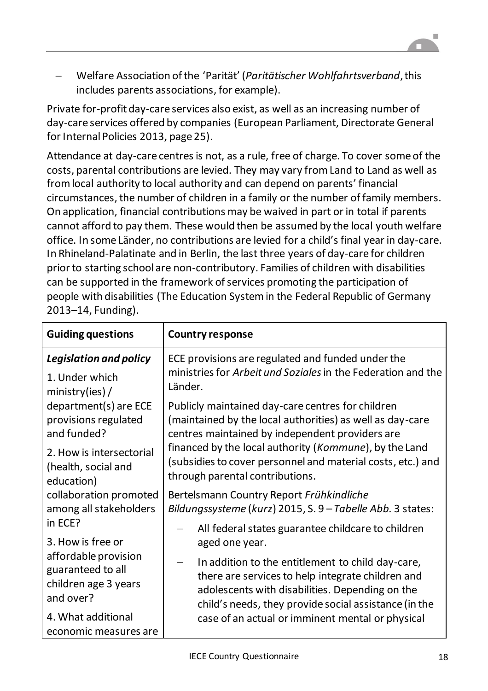Welfare Association of the 'Parität' (*Paritätischer Wohlfahrtsverband*, this includes parents associations, for example).

Private for-profit day-care services also exist, as well as an increasing number of day-care services offered by companies (European Parliament, Directorate General for Internal Policies 2013, page 25).

Attendance at day-care centres is not, as a rule, free of charge. To cover some of the costs, parental contributions are levied. They may vary from Land to Land as well as from local authority to local authority and can depend on parents' financial circumstances, the number of children in a family or the number of family members. On application, financial contributions may be waived in part or in total if parents cannot afford to pay them. These would then be assumed by the local youth welfare office. In some Länder, no contributions are levied for a child'sfinal year in day-care. In Rhineland-Palatinate and in Berlin, the last three years of day-care for children prior to starting school are non-contributory. Families of children with disabilities can be supported in the framework of services promoting the participation of people with disabilities (The Education System in the Federal Republic of Germany 2013–14, Funding).

| <b>Guiding questions</b>                                                                                                                                                                                                            | <b>Country response</b>                                                                                                                                                                                                                                                                                                       |
|-------------------------------------------------------------------------------------------------------------------------------------------------------------------------------------------------------------------------------------|-------------------------------------------------------------------------------------------------------------------------------------------------------------------------------------------------------------------------------------------------------------------------------------------------------------------------------|
| <b>Legislation and policy</b>                                                                                                                                                                                                       | ECE provisions are regulated and funded under the                                                                                                                                                                                                                                                                             |
| 1. Under which<br>ministry(ies) /                                                                                                                                                                                                   | ministries for Arbeit und Soziales in the Federation and the<br>Länder.                                                                                                                                                                                                                                                       |
| department(s) are ECE<br>provisions regulated<br>and funded?                                                                                                                                                                        | Publicly maintained day-care centres for children<br>(maintained by the local authorities) as well as day-care<br>centres maintained by independent providers are<br>financed by the local authority (Kommune), by the Land<br>(subsidies to cover personnel and material costs, etc.) and<br>through parental contributions. |
| 2. How is intersectorial<br>(health, social and<br>education)<br>collaboration promoted<br>among all stakeholders<br>in ECE?<br>3. How is free or<br>affordable provision<br>guaranteed to all<br>children age 3 years<br>and over? |                                                                                                                                                                                                                                                                                                                               |
|                                                                                                                                                                                                                                     | Bertelsmann Country Report Frühkindliche<br>Bildungssysteme (kurz) 2015, S. 9 - Tabelle Abb. 3 states:                                                                                                                                                                                                                        |
|                                                                                                                                                                                                                                     | All federal states guarantee childcare to children<br>aged one year.                                                                                                                                                                                                                                                          |
|                                                                                                                                                                                                                                     | In addition to the entitlement to child day-care,<br>there are services to help integrate children and<br>adolescents with disabilities. Depending on the<br>child's needs, they provide social assistance (in the                                                                                                            |
| 4. What additional<br>economic measures are                                                                                                                                                                                         | case of an actual or imminent mental or physical                                                                                                                                                                                                                                                                              |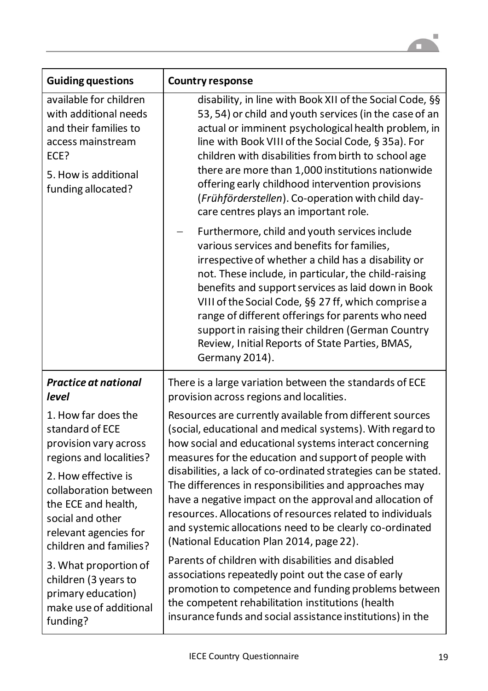

| <b>Guiding questions</b>                                                                                                                            | <b>Country response</b>                                                                                                                                                                                                                                                                                                                                                                                                                                                                                 |
|-----------------------------------------------------------------------------------------------------------------------------------------------------|---------------------------------------------------------------------------------------------------------------------------------------------------------------------------------------------------------------------------------------------------------------------------------------------------------------------------------------------------------------------------------------------------------------------------------------------------------------------------------------------------------|
| available for children<br>with additional needs<br>and their families to<br>access mainstream<br>ECE?<br>5. How is additional<br>funding allocated? | disability, in line with Book XII of the Social Code, §§<br>53, 54) or child and youth services (in the case of an<br>actual or imminent psychological health problem, in<br>line with Book VIII of the Social Code, § 35a). For<br>children with disabilities from birth to school age<br>there are more than 1,000 institutions nationwide<br>offering early childhood intervention provisions<br>(Frühförderstellen). Co-operation with child day-<br>care centres plays an important role.          |
|                                                                                                                                                     | Furthermore, child and youth services include<br>various services and benefits for families,<br>irrespective of whether a child has a disability or<br>not. These include, in particular, the child-raising<br>benefits and support services as laid down in Book<br>VIII of the Social Code, §§ 27 ff, which comprise a<br>range of different offerings for parents who need<br>support in raising their children (German Country<br>Review, Initial Reports of State Parties, BMAS,<br>Germany 2014). |
| <b>Practice at national</b>                                                                                                                         | There is a large variation between the standards of ECE                                                                                                                                                                                                                                                                                                                                                                                                                                                 |
| level                                                                                                                                               | provision across regions and localities.                                                                                                                                                                                                                                                                                                                                                                                                                                                                |
| 1. How far does the                                                                                                                                 | Resources are currently available from different sources                                                                                                                                                                                                                                                                                                                                                                                                                                                |
| standard of ECE                                                                                                                                     | social, educational and medical systems). With regard to                                                                                                                                                                                                                                                                                                                                                                                                                                                |
| provision vary across                                                                                                                               | how social and educational systems interact concerning                                                                                                                                                                                                                                                                                                                                                                                                                                                  |
| regions and localities?                                                                                                                             | measures for the education and support of people with                                                                                                                                                                                                                                                                                                                                                                                                                                                   |
| 2. How effective is                                                                                                                                 | disabilities, a lack of co-ordinated strategies can be stated.                                                                                                                                                                                                                                                                                                                                                                                                                                          |
| collaboration between                                                                                                                               | The differences in responsibilities and approaches may                                                                                                                                                                                                                                                                                                                                                                                                                                                  |
| the ECE and health,                                                                                                                                 | have a negative impact on the approval and allocation of                                                                                                                                                                                                                                                                                                                                                                                                                                                |
| social and other                                                                                                                                    | resources. Allocations of resources related to individuals                                                                                                                                                                                                                                                                                                                                                                                                                                              |
| relevant agencies for                                                                                                                               | and systemic allocations need to be clearly co-ordinated                                                                                                                                                                                                                                                                                                                                                                                                                                                |
| children and families?                                                                                                                              | (National Education Plan 2014, page 22).                                                                                                                                                                                                                                                                                                                                                                                                                                                                |
| 3. What proportion of                                                                                                                               | Parents of children with disabilities and disabled                                                                                                                                                                                                                                                                                                                                                                                                                                                      |
| children (3 years to                                                                                                                                | associations repeatedly point out the case of early                                                                                                                                                                                                                                                                                                                                                                                                                                                     |
| primary education)                                                                                                                                  | promotion to competence and funding problems between                                                                                                                                                                                                                                                                                                                                                                                                                                                    |
| make use of additional                                                                                                                              | the competent rehabilitation institutions (health                                                                                                                                                                                                                                                                                                                                                                                                                                                       |
| funding?                                                                                                                                            | insurance funds and social assistance institutions) in the                                                                                                                                                                                                                                                                                                                                                                                                                                              |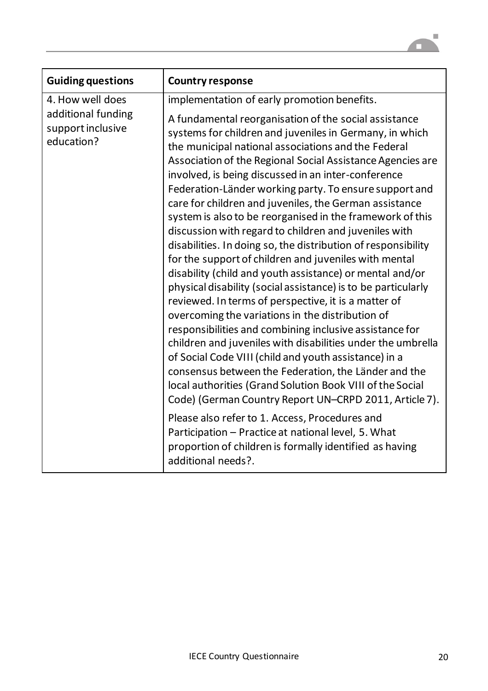

| <b>Guiding questions</b>                              | <b>Country response</b>                                                                                                                                                                                                                                                                                                                                                                                                                                                                                                                                                                                                                                                                                                                                                                                                                                                                                                                                                                                                                                                                                                                                                                                                                                                                                                                                                                                                                                               |
|-------------------------------------------------------|-----------------------------------------------------------------------------------------------------------------------------------------------------------------------------------------------------------------------------------------------------------------------------------------------------------------------------------------------------------------------------------------------------------------------------------------------------------------------------------------------------------------------------------------------------------------------------------------------------------------------------------------------------------------------------------------------------------------------------------------------------------------------------------------------------------------------------------------------------------------------------------------------------------------------------------------------------------------------------------------------------------------------------------------------------------------------------------------------------------------------------------------------------------------------------------------------------------------------------------------------------------------------------------------------------------------------------------------------------------------------------------------------------------------------------------------------------------------------|
| 4. How well does                                      | implementation of early promotion benefits.                                                                                                                                                                                                                                                                                                                                                                                                                                                                                                                                                                                                                                                                                                                                                                                                                                                                                                                                                                                                                                                                                                                                                                                                                                                                                                                                                                                                                           |
| additional funding<br>support inclusive<br>education? | A fundamental reorganisation of the social assistance<br>systems for children and juveniles in Germany, in which<br>the municipal national associations and the Federal<br>Association of the Regional Social Assistance Agencies are<br>involved, is being discussed in an inter-conference<br>Federation-Länder working party. To ensure support and<br>care for children and juveniles, the German assistance<br>system is also to be reorganised in the framework of this<br>discussion with regard to children and juveniles with<br>disabilities. In doing so, the distribution of responsibility<br>for the support of children and juveniles with mental<br>disability (child and youth assistance) or mental and/or<br>physical disability (social assistance) is to be particularly<br>reviewed. In terms of perspective, it is a matter of<br>overcoming the variations in the distribution of<br>responsibilities and combining inclusive assistance for<br>children and juveniles with disabilities under the umbrella<br>of Social Code VIII (child and youth assistance) in a<br>consensus between the Federation, the Länder and the<br>local authorities (Grand Solution Book VIII of the Social<br>Code) (German Country Report UN-CRPD 2011, Article 7).<br>Please also refer to 1. Access, Procedures and<br>Participation - Practice at national level, 5. What<br>proportion of children is formally identified as having<br>additional needs?. |
|                                                       |                                                                                                                                                                                                                                                                                                                                                                                                                                                                                                                                                                                                                                                                                                                                                                                                                                                                                                                                                                                                                                                                                                                                                                                                                                                                                                                                                                                                                                                                       |